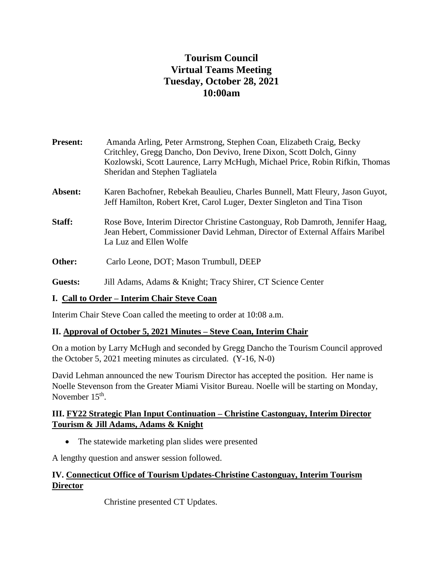# **Tourism Council Virtual Teams Meeting Tuesday, October 28, 2021 10:00am**

| <b>Present:</b> | Amanda Arling, Peter Armstrong, Stephen Coan, Elizabeth Craig, Becky<br>Critchley, Gregg Dancho, Don Devivo, Irene Dixon, Scott Dolch, Ginny<br>Kozlowski, Scott Laurence, Larry McHugh, Michael Price, Robin Rifkin, Thomas<br>Sheridan and Stephen Tagliatela |
|-----------------|-----------------------------------------------------------------------------------------------------------------------------------------------------------------------------------------------------------------------------------------------------------------|
| Absent:         | Karen Bachofner, Rebekah Beaulieu, Charles Bunnell, Matt Fleury, Jason Guyot,<br>Jeff Hamilton, Robert Kret, Carol Luger, Dexter Singleton and Tina Tison                                                                                                       |
| Staff:          | Rose Bove, Interim Director Christine Castonguay, Rob Damroth, Jennifer Haag,<br>Jean Hebert, Commissioner David Lehman, Director of External Affairs Maribel<br>La Luz and Ellen Wolfe                                                                         |
| Other:          | Carlo Leone, DOT; Mason Trumbull, DEEP                                                                                                                                                                                                                          |
| Guests:         | Jill Adams, Adams & Knight; Tracy Shirer, CT Science Center                                                                                                                                                                                                     |

#### **I. Call to Order – Interim Chair Steve Coan**

Interim Chair Steve Coan called the meeting to order at 10:08 a.m.

#### **II. Approval of October 5, 2021 Minutes – Steve Coan, Interim Chair**

On a motion by Larry McHugh and seconded by Gregg Dancho the Tourism Council approved the October 5, 2021 meeting minutes as circulated. (Y-16, N-0)

David Lehman announced the new Tourism Director has accepted the position. Her name is Noelle Stevenson from the Greater Miami Visitor Bureau. Noelle will be starting on Monday, November 15<sup>th</sup>.

### **III. FY22 Strategic Plan Input Continuation – Christine Castonguay, Interim Director Tourism & Jill Adams, Adams & Knight**

• The statewide marketing plan slides were presented

A lengthy question and answer session followed.

# **IV. Connecticut Office of Tourism Updates-Christine Castonguay, Interim Tourism Director**

Christine presented CT Updates.